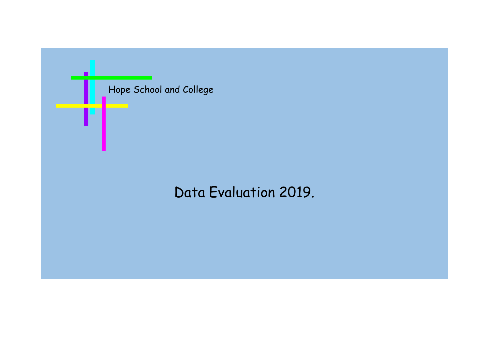

# Data Evaluation 2019.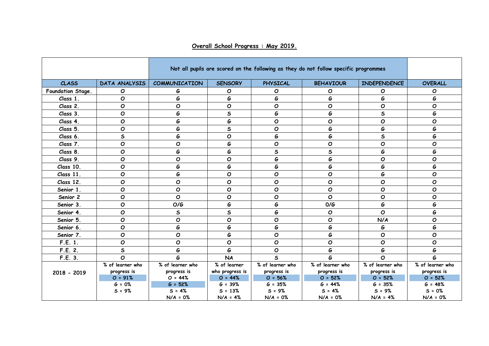|                   |                  |                      | Not all pupils are scored on the following as they do not follow specific programmes |                  |                  |                     |                  |  |  |
|-------------------|------------------|----------------------|--------------------------------------------------------------------------------------|------------------|------------------|---------------------|------------------|--|--|
| <b>CLASS</b>      | DATA ANALYSIS    | <b>COMMUNICATION</b> | <b>SENSORY</b>                                                                       | PHYSICAL         | <b>BEHAVIOUR</b> | <b>INDEPENDENCE</b> | <b>OVERALL</b>   |  |  |
| Foundation Stage. | Ο                | G                    | O                                                                                    | O                | Ο                | O                   | O                |  |  |
| Class 1.          | O                | G                    | G                                                                                    | G                | G                | G                   | G                |  |  |
| Class 2.          | O                | $\mathbf{o}$         | $\mathbf{o}$                                                                         | O                | $\mathbf{o}$     | $\mathbf{o}$        | O                |  |  |
| Class 3.          | $\mathbf{o}$     | G                    | $\mathsf{s}$                                                                         | G                | G                | $\sf s$             | G                |  |  |
| Class 4.          | O                | G                    | G                                                                                    | O                | O                | $\mathbf{o}$        | O                |  |  |
| Class 5.          | $\mathbf o$      | G                    | $\sf s$                                                                              | O                | G                | G                   | G                |  |  |
| Class 6.          | $\sf s$          | G                    | $\mathbf{o}$                                                                         | G                | G                | $\sf s$             | G                |  |  |
| Class 7.          | O                | $\mathbf o$          | G                                                                                    | O                | O                | $\mathbf{o}$        | O                |  |  |
| Class 8.          | O                | G                    | G                                                                                    | $\mathsf{s}$     | $\mathsf{s}$     | G                   | G                |  |  |
| Class 9.          | O                | $\mathbf O$          | $\mathbf{O}$                                                                         | G                | G                | $\mathbf{o}$        | O                |  |  |
| Class 10.         | O                | G                    | G                                                                                    | G                | G                | G                   | G                |  |  |
| Class 11.         | $\mathbf o$      | G                    | $\mathbf{o}$                                                                         | O                | $\mathbf{o}$     | G                   | O                |  |  |
| Class 12.         | Ο                | O                    | $\mathbf{o}$                                                                         | O                | $\mathbf{o}$     | O                   | O                |  |  |
| Senior 1.         | O                | O                    | $\mathbf O$                                                                          | O                | O                | $\mathbf{o}$        | O                |  |  |
| Senior 2          | $\mathbf{o}$     | $\mathbf{o}$         | $\mathbf O$                                                                          | O                | $\mathbf{o}$     | $\mathbf{o}$        | O                |  |  |
| Senior 3.         | $\mathbf o$      | O/G                  | G                                                                                    | G                | 0/G              | G                   | G                |  |  |
| Senior 4.         | O                | $\mathsf{s}$         | $\mathsf{s}$                                                                         | G                | $\mathbf O$      | $\mathbf{o}$        | G                |  |  |
| Senior 5.         | $\mathbf o$      | $\mathbf O$          | O                                                                                    | O                | O                | N/A                 | O                |  |  |
| Senior 6.         | $\mathbf{o}$     | G                    | G                                                                                    | G                | G                | G                   | G                |  |  |
| Senior 7.         | $\mathbf o$      | $\mathbf O$          | G                                                                                    | $\mathbf o$      | G                | O                   | $\mathbf o$      |  |  |
| F.E. 1.           | O                | O                    | $\mathbf O$                                                                          | O                | O                | $\mathbf{o}$        | O                |  |  |
| F.E. 2.           | $\mathsf{s}$     | G                    | G                                                                                    | O                | G                | G                   | G                |  |  |
| F.E. 3.           | O                | G                    | <b>NA</b>                                                                            | $\mathsf{s}$     | G                | $\mathbf{o}$        | G                |  |  |
|                   | % of learner who | % of learner who     | % of learner                                                                         | % of learner who | % of learner who | % of learner who    | % of learner who |  |  |
| 2018 - 2019       | progress is      | progress is          | who progress is                                                                      | progress is      | progress is      | progress is         | progress is      |  |  |
|                   | $O = 91%$        | $O = 44%$            | $O = 44%$                                                                            | $O = 56%$        | $O = 52%$        | $O = 52%$           | $O = 52%$        |  |  |
|                   | $G = 0%$         | $G = 52%$            | $G = 39%$                                                                            | $G = 35%$        | $G = 44%$        | $G = 35%$           | $G = 48%$        |  |  |
|                   | $S = 9%$         | $S = 4%$             | $S = 13%$                                                                            | $S = 9%$         | $S = 4%$         | $S = 9%$            | $S = 0%$         |  |  |
|                   |                  | $N/A = 0%$           | $N/A = 4%$                                                                           | $N/A = 0%$       | $N/A = 0%$       | $N/A = 4%$          | $N/A = 0%$       |  |  |

**Overall School Progress : May 2019.**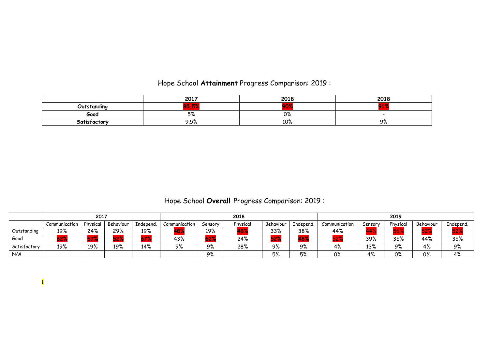# Hope School **Attainment** Progress Comparison: 2019 :

|              | 2017                                                                                                                                                                                   | 2018           | 2010<br><b>LVI</b> |
|--------------|----------------------------------------------------------------------------------------------------------------------------------------------------------------------------------------|----------------|--------------------|
| Outstandina  | $\sim$<br>$\sim$<br><b>College</b><br><b>CONTRACTOR</b><br><u> a shi ne a shekara ta 1989 a shekara ta 1989 a shekara ta 1989 a shekara ta 1989 a shekara ta 1989 a shekara </u><br>-- |                | --                 |
| Good         | Бº<br>ە/ ب                                                                                                                                                                             | $\sim$<br>U /o |                    |
| Satisfactory | 9.5%                                                                                                                                                                                   | 100<br>1 U/o   | ი∘<br>フル           |

# Hope School **Overall** Progress Comparison: 2019 :

|              | 2017          |          |           |           | 2018          |              |          |           | 2019      |               |         |          |           |           |
|--------------|---------------|----------|-----------|-----------|---------------|--------------|----------|-----------|-----------|---------------|---------|----------|-----------|-----------|
|              | Communication | Physical | Behaviour | Independ. | Communication | Sensory      | Physical | Behaviour | Independ. | Communication | Sensory | Physical | Behaviour | Independ. |
| Outstanding  | 19%           | 24%      | 29%       | 19%       |               | 19%          |          | 33%       | 38%       | 44%           | 44      |          |           |           |
| Good         |               | 671      | - -       |           | 43%           | $-20$<br>DC. | 24%      | JС        | $\sim$    |               | 39%     | 35%      | 44%       | 35%       |
| Satisfactory | 19%           | 19%      | 19%       | 14%       | 9%            | 9%           | 28%      | 9%        | 9%        | 4%            | 13%     | 9%       | 4%        | 9%        |
| N/A          |               |          |           |           |               | 9%           |          | 5%        | 5%        | 0%            | 4%      | 0%       | 0%        | 4%        |

I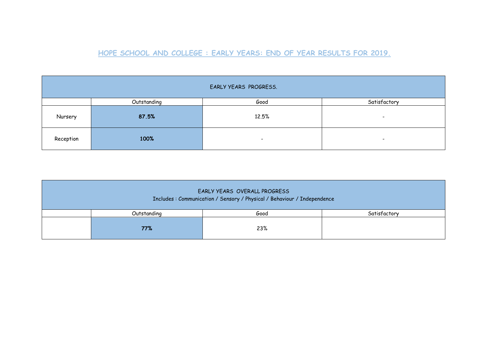### **HOPE SCHOOL AND COLLEGE : EARLY YEARS: END OF YEAR RESULTS FOR 2019.**

| EARLY YEARS PROGRESS. |             |                          |                          |  |  |  |  |  |
|-----------------------|-------------|--------------------------|--------------------------|--|--|--|--|--|
|                       | Outstanding | Good                     | Satisfactory             |  |  |  |  |  |
| Nursery               | 87.5%       | 12.5%                    | $\overline{\phantom{0}}$ |  |  |  |  |  |
| Reception             | 100%        | $\overline{\phantom{a}}$ | $\overline{\phantom{0}}$ |  |  |  |  |  |

| EARLY YEARS OVERALL PROGRESS<br>Includes : Communication / Sensory / Physical / Behaviour / Independence |             |      |              |  |  |  |  |  |
|----------------------------------------------------------------------------------------------------------|-------------|------|--------------|--|--|--|--|--|
|                                                                                                          | Outstanding | Good | Satisfactory |  |  |  |  |  |
|                                                                                                          | 77%         | 23%  |              |  |  |  |  |  |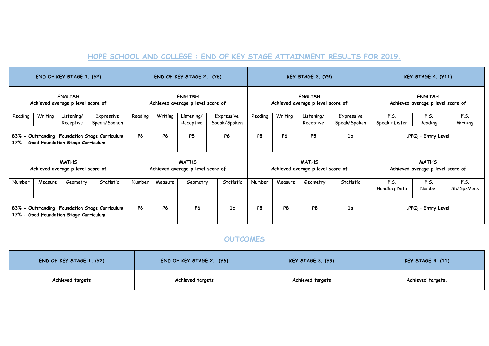#### **HOPE SCHOOL AND COLLEGE : END OF KEY STAGE ATTAINMENT RESULTS FOR 2019.**

| END OF KEY STAGE 1. (Y2)                                                                          |         |                                                   |                                                     | END OF KEY STAGE 2. (Y6) |           |                                                     |                            | KEY STAGE 3. (Y9) |                                                     |                                                   |                            | KEY STAGE 4. (Y11)     |                                                   |                    |
|---------------------------------------------------------------------------------------------------|---------|---------------------------------------------------|-----------------------------------------------------|--------------------------|-----------|-----------------------------------------------------|----------------------------|-------------------|-----------------------------------------------------|---------------------------------------------------|----------------------------|------------------------|---------------------------------------------------|--------------------|
| <b>ENGLISH</b><br>Achieved average p level score of                                               |         |                                                   | <b>ENGLISH</b><br>Achieved average p level score of |                          |           | <b>ENGLISH</b><br>Achieved average p level score of |                            |                   | <b>ENGLISH</b><br>Achieved average p level score of |                                                   |                            |                        |                                                   |                    |
| Reading                                                                                           | Writing | Listening/<br>Receptive                           | Expressive<br>Speak/Spoken                          | Reading                  | Writing   | Listening/<br>Receptive                             | Expressive<br>Speak/Spoken | Reading           | Writing                                             | Listening/<br>Receptive                           | Expressive<br>Speak/Spoken | F.S.<br>Speak + Listen | F.S.<br>Reading                                   | F.S.<br>Writing    |
| 83% - Outstanding Foundation Stage Curriculum<br>17% -<br><b>Good Foundation Stage Curriculum</b> |         | <b>P6</b>                                         | <b>P6</b>                                           | <b>P5</b>                | <b>P6</b> | P <sub>8</sub>                                      | <b>P6</b>                  | <b>P5</b>         | 1 <sub>b</sub>                                      | .PPQ - Entry Level                                |                            |                        |                                                   |                    |
|                                                                                                   |         | <b>MATHS</b><br>Achieved average p level score of |                                                     |                          |           | <b>MATHS</b><br>Achieved average p level score of   |                            |                   |                                                     | <b>MATHS</b><br>Achieved average p level score of |                            |                        | <b>MATHS</b><br>Achieved average p level score of |                    |
| Number                                                                                            | Measure | Geometry                                          | Statistic                                           | Number                   | Measure   | Geometry                                            | Statistic                  | Number            | Measure                                             | Geometry                                          | Statistic                  | F.S.<br>Handling Data  | F.S.<br>Number                                    | F.S.<br>Sh/Sp/Meas |
| 83% - Outstanding Foundation Stage Curriculum<br><b>Good Foundation Stage Curriculum</b><br>17% - |         | <b>P6</b>                                         | <b>P6</b>                                           | <b>P6</b>                | 1c        | P <sub>8</sub>                                      | P <sub>8</sub>             | P8                | 1 <sub>a</sub>                                      |                                                   | .PPQ - Entry Level         |                        |                                                   |                    |

## **OUTCOMES**

| END OF KEY STAGE 1. (Y2) | END OF KEY STAGE 2. (Y6) | <b>KEY STAGE 3. (Y9)</b> | KEY STAGE $4. (11)$ |
|--------------------------|--------------------------|--------------------------|---------------------|
| Achieved targets         | Achieved targets         | Achieved targets         | Achieved targets.   |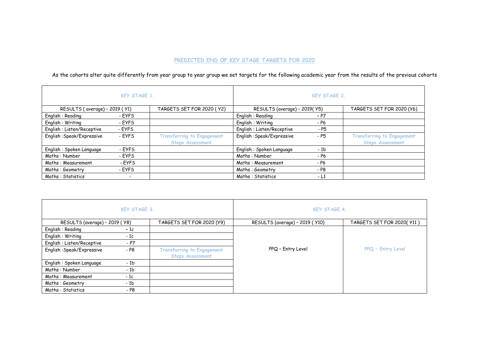#### **PREDICTED END OF KEY STAGE TARGETS FOR 2020**

As the cohorts alter quite differently from year group to year group we set targets for the following academic year from the results of the previous cohorts

|                               | <b>KEY STAGE 1.</b>      |                                                              | <b>KEY STAGE 2.</b>           |        |                                                              |  |
|-------------------------------|--------------------------|--------------------------------------------------------------|-------------------------------|--------|--------------------------------------------------------------|--|
| RESULTS (average) - 2019 (Y1) |                          | TARGETS SET FOR 2020 (Y2)                                    | RESULTS (average) - 2019( Y5) |        | TARGETS SET FOR 2020 (Y6)                                    |  |
| English: Reading              | - EYFS                   |                                                              | English: Reading              | - P7   |                                                              |  |
| English: Writing              | - EYFS                   |                                                              | English: Writing              | - P6   |                                                              |  |
| English: Listen/Receptive     | - EYFS                   |                                                              | English: Listen/Receptive     | - P5   |                                                              |  |
| English: Speak/Expressive     | - EYFS                   | <b>Transferring to Engagement</b><br><b>Steps Assessment</b> | English: Speak/Expressive     | - P5   | <b>Transferring to Engagement</b><br><b>Steps Assessment</b> |  |
| English: Spoken Language      | - EYFS                   |                                                              | English: Spoken Language      | $-1b$  |                                                              |  |
| Maths: Number                 | - EYFS                   |                                                              | Maths: Number                 | - P6   |                                                              |  |
| Maths: Measurement            | - EYFS                   |                                                              | Maths: Measurement            | - P6   |                                                              |  |
| Maths: Geometry               | - EYFS                   |                                                              | Maths: Geometry               | - P8   |                                                              |  |
| Maths: Statistics             | $\overline{\phantom{0}}$ |                                                              | Maths: Statistics             | $-1.1$ |                                                              |  |

|                                | <b>KEY STAGE 3.</b> |                                                              | <b>KEY STAGE 4.</b>             |                            |  |  |
|--------------------------------|---------------------|--------------------------------------------------------------|---------------------------------|----------------------------|--|--|
| RESULTS (average) - 2019 ( Y8) |                     | TARGETS SET FOR 2020 (Y9)                                    | RESULTS (average) - 2019 ( Y10) | TARGETS SET FOR 2020( Y11) |  |  |
| English: Reading               | $-1c$               |                                                              |                                 |                            |  |  |
| English: Writing               | - 1c                |                                                              |                                 |                            |  |  |
| English: Listen/Receptive      | $- P7$              |                                                              |                                 |                            |  |  |
| English: Speak/Expressive      | - P8                | <b>Transferring to Engagement</b><br><b>Steps Assessment</b> | PPQ - Entry Level               | PPQ - Entry Level          |  |  |
| English: Spoken Language       | - 1b                |                                                              |                                 |                            |  |  |
| Maths: Number                  | $-1b$               |                                                              |                                 |                            |  |  |
| Maths: Measurement             | $-1c$               |                                                              |                                 |                            |  |  |
| Maths: Geometry                | $-1b$               |                                                              |                                 |                            |  |  |
| Maths: Statistics              | - P8                |                                                              |                                 |                            |  |  |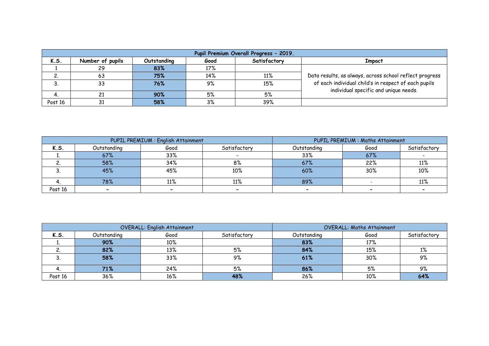|            | Pupil Premium Overall Progress - 2019. |             |       |              |                                                         |  |  |  |  |  |  |
|------------|----------------------------------------|-------------|-------|--------------|---------------------------------------------------------|--|--|--|--|--|--|
| K.S.       | Number of pupils                       | Outstanding | Good  | Satisfactory | <b>Impact</b>                                           |  |  |  |  |  |  |
|            | -29                                    | 83%         | 17%   |              |                                                         |  |  |  |  |  |  |
| <u>. .</u> | 63                                     | 75%         | 14%   | 11%          | Data results, as always, across school reflect progress |  |  |  |  |  |  |
| J.         | 33                                     | 76%         | 9%    | 15%          | of each individual child's in respect of each pupils    |  |  |  |  |  |  |
|            |                                        | 90%         | 5%    | 5%           | individual specific and unique needs.                   |  |  |  |  |  |  |
| Post 16    | <b>D</b> 1                             | 58%         | $3\%$ | 39%          |                                                         |  |  |  |  |  |  |

|         |             | PUPIL PREMIUM : English Attainment | PUPIL PREMIUM : Maths Attainment |             |      |              |
|---------|-------------|------------------------------------|----------------------------------|-------------|------|--------------|
| K.S.    | Outstanding | Good                               | Satisfactory                     | Outstandina | Good | Satisfactory |
|         | 67%         | 33%                                |                                  | 33%         | 67%  |              |
|         | 58%         | 34%                                | 8%                               | 67%         | 22%  | 11%          |
|         | 45%         | 45%                                | 10%                              | 60%         | 30%  | 10%          |
|         | 78%         | 11%                                | 11%                              | 89%         |      | 11%          |
| Post 16 |             |                                    |                                  |             |      |              |

|         |             | <b>OVERALL: English Attainment</b> | <b>OVERALL: Maths Attainment</b> |             |      |              |
|---------|-------------|------------------------------------|----------------------------------|-------------|------|--------------|
| K.S.    | Outstanding | Good                               | Satisfactory                     | Outstandina | Good | Satisfactory |
|         | 90%         | 10%                                |                                  | 83%         | 17%  |              |
|         | 82%         | 13%                                | 5%                               | 84%         | 15%  | $1\%$        |
|         | 58%         | 33%                                | 9%                               | 61%         | 30%  | 9%           |
|         | 71%         | 24%                                | 5%                               | 86%         | 5%   | 9%           |
| Post 16 | 36%         | 16%                                | 48%                              | 26%         | 10%  | 64%          |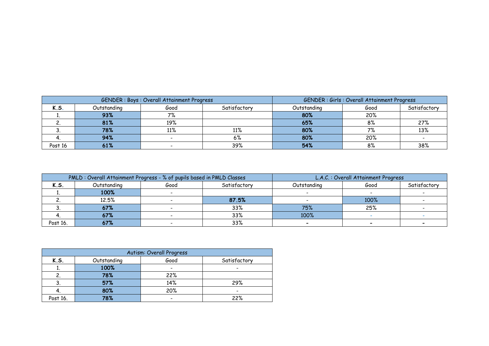| GENDER: Boys: Overall Attainment Progress |             |      | <b>GENDER: Girls: Overall Attainment Progress</b> |             |      |              |
|-------------------------------------------|-------------|------|---------------------------------------------------|-------------|------|--------------|
| K.S.                                      | Outstanding | Good | Satisfactory                                      | Outstandina | Good | Satisfactory |
|                                           | 93%         | 7%   |                                                   | 80%         | 20%  |              |
|                                           | 81%         | 19%  |                                                   | 65%         | 8%   | 27%          |
|                                           | 78%         | 11%  | 11%                                               | 80%         | 70   | 13%          |
|                                           | 94%         |      | 6%                                                | 80%         | 20%  |              |
| Post 16                                   | 61%         |      | 39%                                               | 54%         | 8%   | 38%          |

| PMLD: Overall Attainment Progress - % of pupils based in PMLD Classes |             |      | L.A.C.: Overall Attainment Progress |             |      |              |
|-----------------------------------------------------------------------|-------------|------|-------------------------------------|-------------|------|--------------|
| K.S.                                                                  | Outstanding | Good | Satisfactory                        | Outstandina | Good | Satisfactory |
|                                                                       | 100%        |      |                                     |             |      |              |
|                                                                       | 12.5%       |      | 87.5%                               |             | 100% |              |
|                                                                       | 67%         |      | 33%                                 | 75%         | 25%  |              |
|                                                                       | 67%         |      | 33%                                 | 100%        |      |              |
| Post 16.                                                              | 67%         |      | 33%                                 |             |      |              |

| Autism: Overall Progress |             |      |              |  |  |
|--------------------------|-------------|------|--------------|--|--|
| K.S.                     | Outstanding | Good | Satisfactory |  |  |
|                          | 100%        | -    |              |  |  |
|                          | 78%         | 22%  |              |  |  |
|                          | 57%         | 14%  | 29%          |  |  |
|                          | 80%         | 20%  |              |  |  |
| Post 16.                 | 78%         |      | 22%          |  |  |